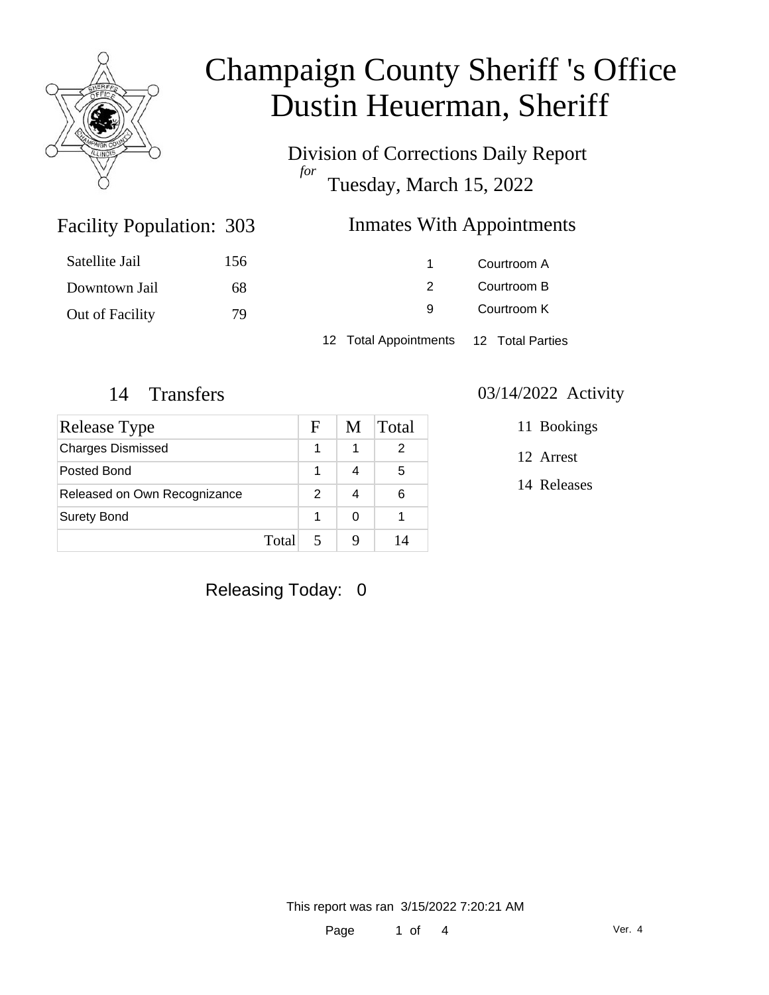

Division of Corrections Daily Report *for* Tuesday, March 15, 2022

### Inmates With Appointments

| Satellite Jail  | 156 |                                        | Courtroom A |
|-----------------|-----|----------------------------------------|-------------|
| Downtown Jail   | 68  |                                        | Courtroom B |
| Out of Facility | 79  | 9                                      | Courtroom K |
|                 |     | 12 Total Appointments 12 Total Parties |             |

Facility Population: 303

| <b>Release Type</b>          |       | F | M | Total |
|------------------------------|-------|---|---|-------|
| <b>Charges Dismissed</b>     |       |   | 1 | 2     |
| Posted Bond                  |       |   |   | 5     |
| Released on Own Recognizance |       | 2 |   | 6     |
| <b>Surety Bond</b>           |       |   | ∩ |       |
|                              | Total |   |   |       |

### 14 Transfers 03/14/2022 Activity

11 Bookings

12 Arrest

14 Releases

Releasing Today: 0

This report was ran 3/15/2022 7:20:21 AM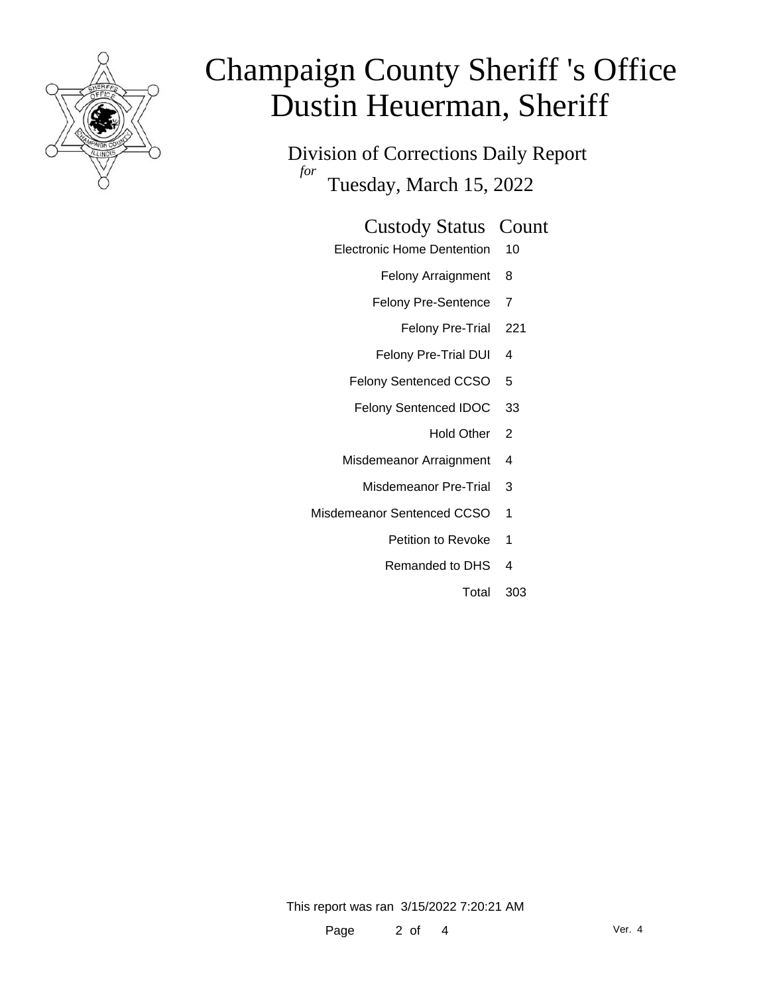

Division of Corrections Daily Report *for* Tuesday, March 15, 2022

#### Custody Status Count

- Electronic Home Dentention 10
	- Felony Arraignment 8
	- Felony Pre-Sentence 7
		- Felony Pre-Trial 221
	- Felony Pre-Trial DUI 4
	- Felony Sentenced CCSO 5
	- Felony Sentenced IDOC 33
		- Hold Other 2
	- Misdemeanor Arraignment 4
		- Misdemeanor Pre-Trial 3
- Misdemeanor Sentenced CCSO 1
	- Petition to Revoke 1
	- Remanded to DHS 4
		- Total 303

This report was ran 3/15/2022 7:20:21 AM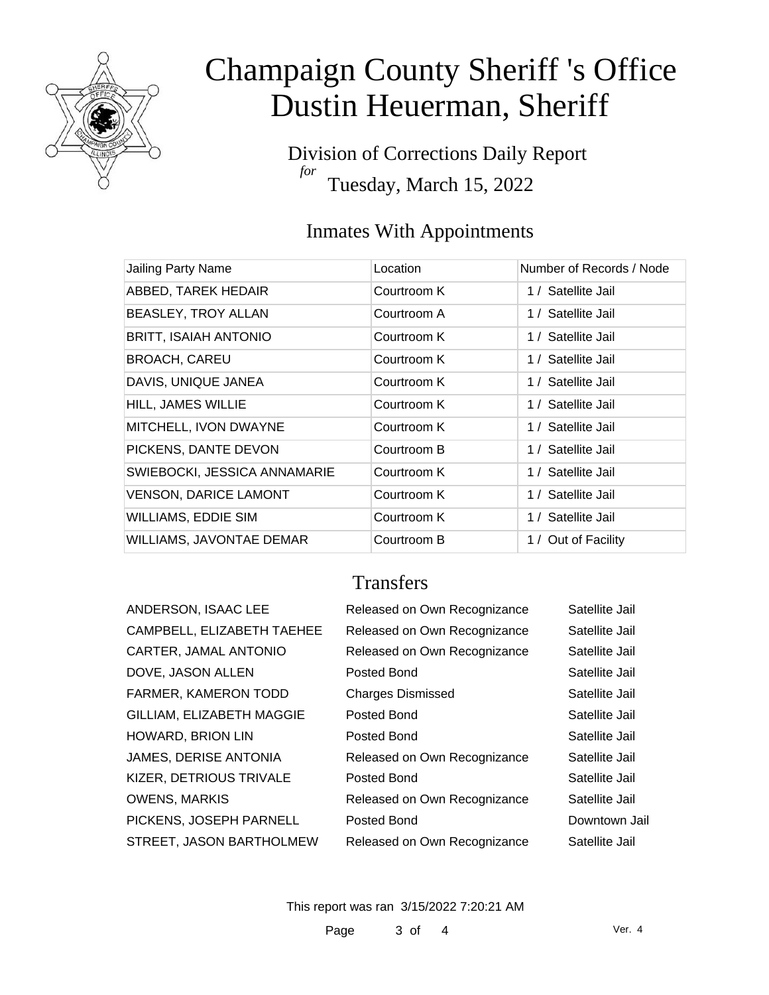

Division of Corrections Daily Report *for* Tuesday, March 15, 2022

### Inmates With Appointments

| <b>Jailing Party Name</b>       | Location    | Number of Records / Node |
|---------------------------------|-------------|--------------------------|
| ABBED, TAREK HEDAIR             | Courtroom K | 1 / Satellite Jail       |
| <b>BEASLEY, TROY ALLAN</b>      | Courtroom A | 1 / Satellite Jail       |
| <b>BRITT, ISAIAH ANTONIO</b>    | Courtroom K | 1 / Satellite Jail       |
| <b>BROACH, CAREU</b>            | Courtroom K | 1 / Satellite Jail       |
| DAVIS, UNIQUE JANEA             | Courtroom K | 1 / Satellite Jail       |
| HILL, JAMES WILLIE              | Courtroom K | 1 / Satellite Jail       |
| MITCHELL, IVON DWAYNE           | Courtroom K | 1 / Satellite Jail       |
| PICKENS, DANTE DEVON            | Courtroom B | 1 / Satellite Jail       |
| SWIEBOCKI, JESSICA ANNAMARIE    | Courtroom K | 1 / Satellite Jail       |
| <b>VENSON, DARICE LAMONT</b>    | Courtroom K | 1 / Satellite Jail       |
| <b>WILLIAMS, EDDIE SIM</b>      | Courtroom K | 1 / Satellite Jail       |
| <b>WILLIAMS, JAVONTAE DEMAR</b> | Courtroom B | 1 / Out of Facility      |

### **Transfers**

| ANDERSON, ISAAC LEE          |
|------------------------------|
| CAMPBELL, ELIZABETH TAEHEE   |
| CARTER, JAMAL ANTONIO        |
| DOVE. JASON ALLEN            |
| <b>FARMER, KAMERON TODD</b>  |
| GILLIAM, ELIZABETH MAGGIE    |
| <b>HOWARD, BRION LIN</b>     |
| <b>JAMES, DERISE ANTONIA</b> |
| KIZER, DETRIOUS TRIVALE      |
| <b>OWENS, MARKIS</b>         |
| PICKENS, JOSEPH PARNELL      |
| STREET. JASON BARTHOLMEW     |
|                              |

| ANDERSON, ISAAC LEE        | Released on Own Recognizance | Satellite Jail |
|----------------------------|------------------------------|----------------|
| CAMPBELL, ELIZABETH TAEHEE | Released on Own Recognizance | Satellite Jail |
| CARTER, JAMAL ANTONIO      | Released on Own Recognizance | Satellite Jail |
| DOVE, JASON ALLEN          | Posted Bond                  | Satellite Jail |
| FARMER, KAMERON TODD       | <b>Charges Dismissed</b>     | Satellite Jail |
| GILLIAM, ELIZABETH MAGGIE  | Posted Bond                  | Satellite Jail |
| HOWARD, BRION LIN          | Posted Bond                  | Satellite Jail |
| JAMES, DERISE ANTONIA      | Released on Own Recognizance | Satellite Jail |
| KIZER, DETRIOUS TRIVALE    | Posted Bond                  | Satellite Jail |
| OWENS, MARKIS              | Released on Own Recognizance | Satellite Jail |
| PICKENS, JOSEPH PARNELL    | Posted Bond                  | Downtown Jail  |
| STREET, JASON BARTHOLMEW   | Released on Own Recognizance | Satellite Jail |